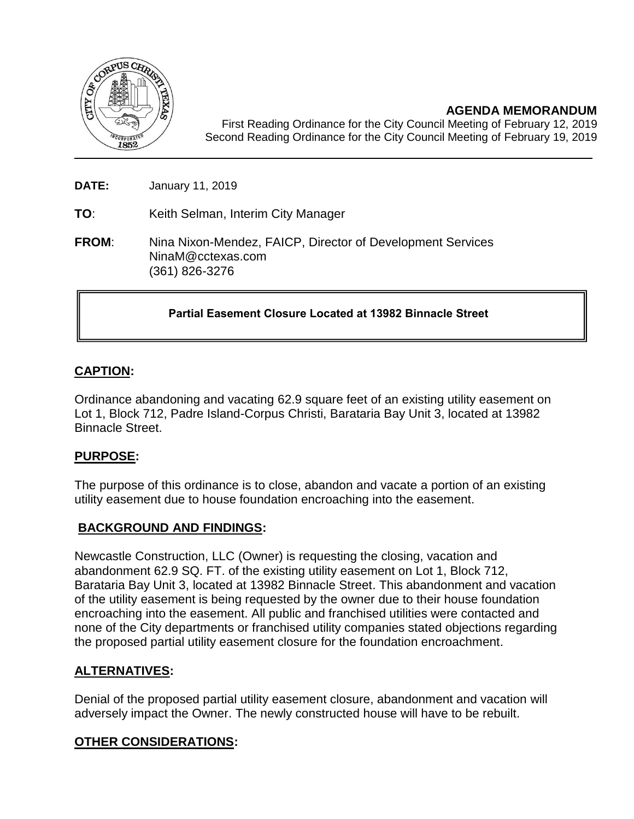

**AGENDA MEMORANDUM**

First Reading Ordinance for the City Council Meeting of February 12, 2019 Second Reading Ordinance for the City Council Meeting of February 19, 2019

**DATE:** January 11, 2019

**TO**: Keith Selman, Interim City Manager

**FROM**: Nina Nixon-Mendez, FAICP, Director of Development Services NinaM@cctexas.com (361) 826-3276

# **Partial Easement Closure Located at 13982 Binnacle Street**

# **CAPTION:**

Ordinance abandoning and vacating 62.9 square feet of an existing utility easement on Lot 1, Block 712, Padre Island-Corpus Christi, Barataria Bay Unit 3, located at 13982 Binnacle Street.

## **PURPOSE:**

The purpose of this ordinance is to close, abandon and vacate a portion of an existing utility easement due to house foundation encroaching into the easement.

## **BACKGROUND AND FINDINGS:**

Newcastle Construction, LLC (Owner) is requesting the closing, vacation and abandonment 62.9 SQ. FT. of the existing utility easement on Lot 1, Block 712, Barataria Bay Unit 3, located at 13982 Binnacle Street. This abandonment and vacation of the utility easement is being requested by the owner due to their house foundation encroaching into the easement. All public and franchised utilities were contacted and none of the City departments or franchised utility companies stated objections regarding the proposed partial utility easement closure for the foundation encroachment.

## **ALTERNATIVES:**

Denial of the proposed partial utility easement closure, abandonment and vacation will adversely impact the Owner. The newly constructed house will have to be rebuilt.

# **OTHER CONSIDERATIONS:**